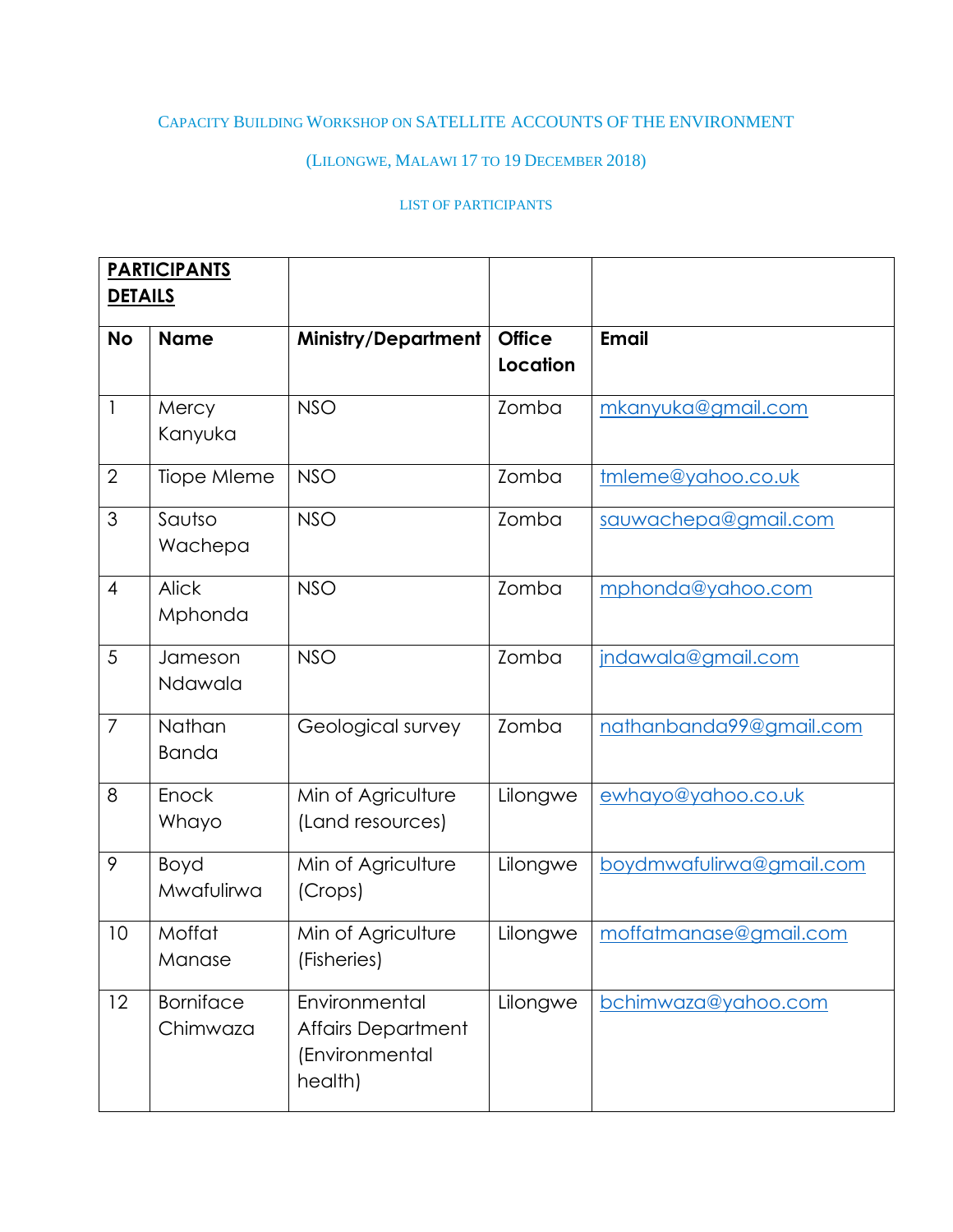## CAPACITY BUILDING WORKSHOP ON SATELLITE ACCOUNTS OF THE ENVIRONMENT

## (LILONGWE, MALAWI 17 TO 19 DECEMBER 2018)

## LIST OF PARTICIPANTS

| <b>PARTICIPANTS</b> |                              |                                                                         |                           |                          |
|---------------------|------------------------------|-------------------------------------------------------------------------|---------------------------|--------------------------|
| <b>DETAILS</b>      |                              |                                                                         |                           |                          |
| <b>No</b>           | <b>Name</b>                  | <b>Ministry/Department</b>                                              | <b>Office</b><br>Location | <b>Email</b>             |
| $\mathbf{I}$        | Mercy<br>Kanyuka             | <b>NSO</b>                                                              | Zomba                     | mkanyuka@gmail.com       |
| $\overline{2}$      | Tiope Mleme                  | <b>NSO</b>                                                              | Zomba                     | tmleme@yahoo.co.uk       |
| 3                   | Sautso<br>Wachepa            | <b>NSO</b>                                                              | Zomba                     | sauwachepa@gmail.com     |
| $\overline{4}$      | <b>Alick</b><br>Mphonda      | <b>NSO</b>                                                              | Zomba                     | mphonda@yahoo.com        |
| 5                   | Jameson<br>Ndawala           | <b>NSO</b>                                                              | Zomba                     | jndawala@gmail.com       |
| $\overline{7}$      | Nathan<br><b>Banda</b>       | Geological survey                                                       | Zomba                     | nathanbanda99@gmail.com  |
| 8                   | Enock<br>Whayo               | Min of Agriculture<br>(Land resources)                                  | Lilongwe                  | ewhayo@yahoo.co.uk       |
| 9                   | Boyd<br>Mwafulirwa           | Min of Agriculture<br>(Crops)                                           | Lilongwe                  | boydmwafulirwa@gmail.com |
| 10                  | Moffat<br>Manase             | Min of Agriculture<br>(Fisheries)                                       | Lilongwe                  | moffatmanase@gmail.com   |
| 12                  | <b>Borniface</b><br>Chimwaza | Environmental<br><b>Affairs Department</b><br>(Environmental<br>health) | Lilongwe                  | bchimwaza@yahoo.com      |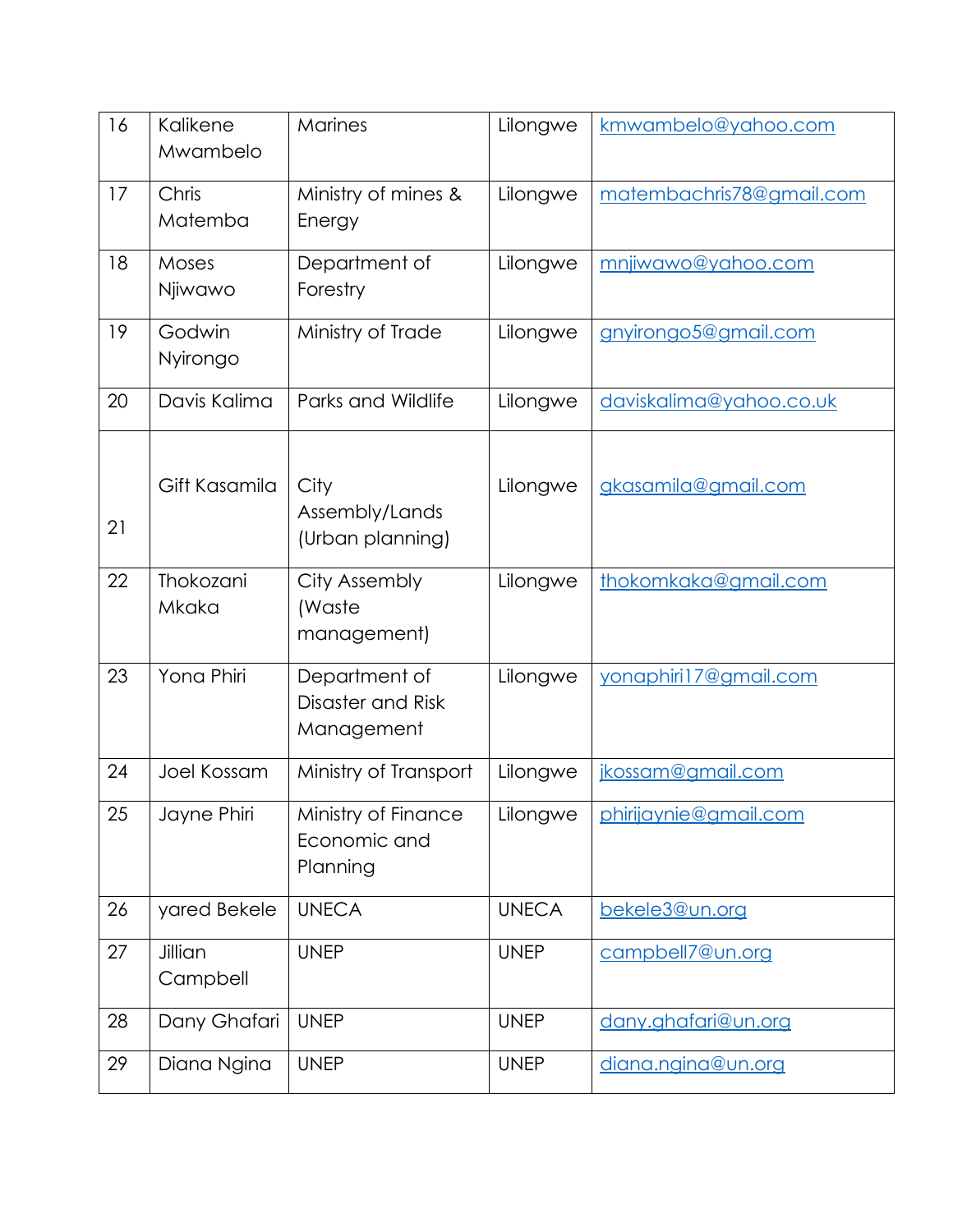| 16 | Kalikene<br>Mwambelo | Marines                                          | Lilongwe     | kmwambelo@yahoo.com      |
|----|----------------------|--------------------------------------------------|--------------|--------------------------|
| 17 | Chris<br>Matemba     | Ministry of mines &<br>Energy                    | Lilongwe     | matembachris78@gmail.com |
| 18 | Moses<br>Njiwawo     | Department of<br>Forestry                        | Lilongwe     | mnjiwawo@yahoo.com       |
| 19 | Godwin<br>Nyirongo   | Ministry of Trade                                | Lilongwe     | gnyirongo5@gmail.com     |
| 20 | Davis Kalima         | Parks and Wildlife                               | Lilongwe     | daviskalima@yahoo.co.uk  |
| 21 | Gift Kasamila        | City<br>Assembly/Lands<br>(Urban planning)       | Lilongwe     | gkasamila@gmail.com      |
| 22 | Thokozani<br>Mkaka   | City Assembly<br>(Waste<br>management)           | Lilongwe     | thokomkaka@gmail.com     |
| 23 | Yona Phiri           | Department of<br>Disaster and Risk<br>Management | Lilongwe     | yonaphiri17@gmail.com    |
| 24 | Joel Kossam          | Ministry of Transport                            | Lilongwe     | jkossam@gmail.com        |
| 25 | Jayne Phiri          | Ministry of Finance<br>Economic and<br>Planning  | Lilongwe     | phirijaynie@gmail.com    |
| 26 | yared Bekele         | <b>UNECA</b>                                     | <b>UNECA</b> | bekele3@un.org           |
| 27 | Jillian<br>Campbell  | <b>UNEP</b>                                      | <b>UNEP</b>  | campbell7@un.org         |
| 28 | Dany Ghafari         | <b>UNEP</b>                                      | <b>UNEP</b>  | dany.ghafari@un.org      |
| 29 | Diana Ngina          | <b>UNEP</b>                                      | <b>UNEP</b>  | diana.ngina@un.org       |